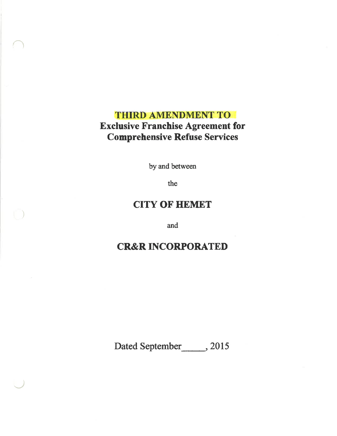# **THIRD AMENDMENT TO Exclusive Franchise Agreement for** Comprehensive Refuse Services

 $\bigcap$ 

)

 $\overline{\phantom{a}}$ 

by and between

the

# **CITY OF HEMET**

and

# CR&R INCORPORATED

Dated September<sub>, 2015</sub>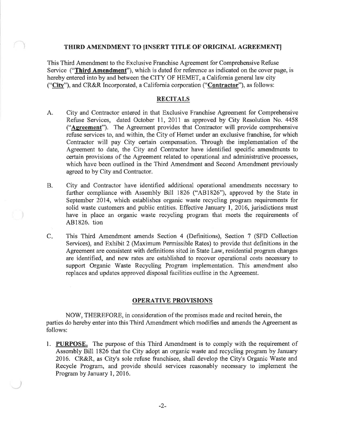### THIRD AMENDMENT TO UNSERT TITLE OF ORIGINAL AGREEMENTI

This Third Amendment to the Exclusive Franchise Agreement for Comprehensive Refuse Service ("Third Amendment"), which is dated for reference as indicated on the cover page, is hereby entered into by and between the CITY OF HEMET, a California general law city ("City"), and CR&R Incorporated, a California corporation ("Contractor"), as follows:

### RECITALS

- A. City and Contractor entered in that Exclusive Franchise Agreement for Comprehensive Refuse Services, dated October 11, 2011 as approved by City Resolution No. 4458 ("Agreement"). The Agreement provides that Contractor will provide comprehensive refuse services to, and within, the City of Hemet under an exclusive franchise, for which Contractor will pay City certain compensation. Through the implementation of the Agreement to date, the City and Contractor have identified specific amendments to certain provisions of the Agreement related to operational and administrative processes, which have been outlined in the Third Amendment and Second Amendment previously agreed to by City and Contractor.
- B. City and Contractor have identified additional operational amendments necessary to further compliance with Assembly Bill 1826 ("481826"), approved by the State in September 2014, which establishes organic waste recycling program requirements for solid waste customers and public entities. Effective January  $1, 2016$ , jurisdictions must have in place an organic waste recycling program that meets the requirements of 481826. tion
- This Third Amendment amends Section 4 (Definitions), Section 7 (SFD Collection Services), and Exhibit 2 (Maximum Permissible Rates) to provide that definitions in the Agreement are consistent with definitions sited in State Law, residential program changes are identified, and new rates are established to recover operational costs necessary to support Organic Waste Recycling Program implementation. This amendment also replaces and updates approved disposal facilities outline in the Agreement.  $C_{\star}$

#### OPERATIVE PROVISIONS

NOW, THEREFORE, in consideration of the promises made and recited herein, the parties do hereby enter into this Third Amendment which modifies and amends the Agreement as follows:

l. PURPOSE. The purpose of this Third Amendment is to comply with the requirement of Assembly Bill 1826 that the City adopt an organic waste and recycling program by January 2016. CR&R, as City's sole refuse franchisee, shall develop the City's Organic Waste and Recycle Program, and provide should services reasonably necessary to implernent the Program by January 1, 2016.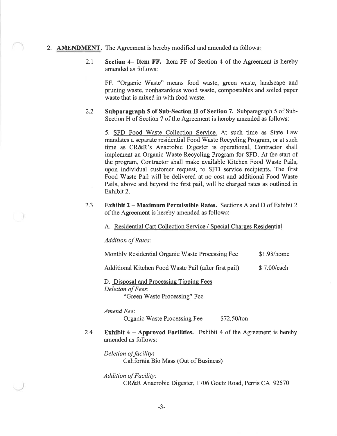- 2. AMENDMENT. The Agreement is hereby modified and amended as follows:
	- 2.1 Section 4– Item FF. Item FF of Section 4 of the Agreement is hereby amended as follows:

FF. "Organic Waste" means food waste, green waste, landscape and pruning waste, nonhazardous wood waste, compostables and soiled paper waste that is mixed in with food waste.

2.2 Subparagraph 5 of Sub-Section H of Section 7. Subparagraph 5 of Sub-Section H of Section 7 of the Agreement is hereby amended as follows:

5. SFD Food Waste Collection Service. At such time as State Law mandates a separate residential Food Waste Recycling Program, or at such time as CR&R's Anaerobic Digester is operational, Contractor shall implement an Organic Waste Recycling Program for SFD. At the start of the program, Contractor shall make available Kitchen Food Waste Pails, upon individual customer request, to SFD service recipients. The first Food Waste Pail will be delivered at no cost and additional Food Waste Pails, above and beyond the first pail, will be charged rates as outlined in Exhibit 2.

2.3 Exhibit 2 - Maximum Permissible Rates. Sections A and D of Exhibit <sup>2</sup> of the Agreement is hereby amended as follows:

A. Residential Cart Collection Service / Special Charges Residential

Addition of Rates:

Monthly Residential Organic Waste Processing Fee \$1.98/home

Additional Kitchen Food Waste Pail (after first pail) \$ 7.00/each

D. Disposal and Processing Tipping Fees Deletion of Fees:

"Green Waste Processing" Fee

Amend Fee'.

Organic Waste Processing Fee \$72.50/ton

Exhibit  $4 - A$ pproved Facilities. Exhibit  $4$  of the Agreement is hereby amended as follows: 2.4

Deletion of facility: California Bio Mass (Out of Business)

## Addition of Facility:

CR&R Anaerobic Digester, 1706 Goetz Road, Perris CA 92570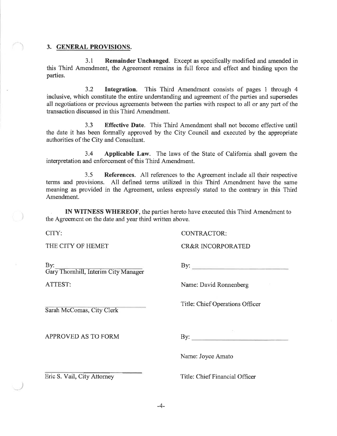### 3. GENERAL PROVISIONS.

3.1 Remainder Unchanged. Except as specifically modified and amended in this Third Amendment, the Agreement remains in full force and effect and binding upon the parties.

3.2 Integration. This Third Amendment consists of pages 1 through <sup>4</sup> inclusive, which constitute the entire understanding and agreement of the parties and supersedes all negotiations or previous agreements between the parties with respect to all or any part of the transaction discussed in this Third Amendment.

3.3 Effective Date. This Third Amendment shall not become effective until the date it has been formally approved by the City Council and executed by the appropriate authorities of the City and Consultant.

3.4 Applicable Law. The laws of the State of Califomia shall govern the interpretation and enforcement of this Third Amendment.

3.5 References. All references to thc Agreement include all their respective terms and provisions. All defined terms utilized in this Third Amendment have the same meaning as provided in the Agreement, unless expressly stated to the contrary in this Third Amendment.

IN WITNESS WHEREOF, the parties hereto have executed this Third Amendment to the Agreement on the date and year third written above.

THE CITY OF HEMET CR&R INCORPORATED

 $By:$ 

Gary Thornhill, Interim City Manager

Sarah McComas, City Clerk

APPROVED AS TO FORM

CITY: CONTRACTOR:

 $\mathbf{B} \mathbf{y}$ :

ATTEST: Name: David Ronnenberg

Title: Chief Operations Officer

 $\mathbf{By:}$ 

Name: Joyce Amato

Eric S. Vail, City Attorney

Title: Chief Financial Officer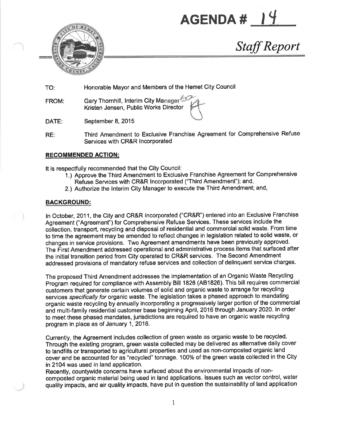AGENDA # |



Staff Report

TO: Honorable Mayor and Members of the Hemet City Council

FROM: Gary Thornhill, Interim City Manager Kristen Jensen, Public Works Director

DATE: September 8, 2015

RE: Third Amendment to Exclusive Franchise Agreement for Comprehensive Refuse Services with CR&R Incorporated

## RECOMMENDED AGTION:

It is respectfully recommended that the City Council:

- 1.) Approve the Third Amendment to Exclusive Franchise Agreement for Comprehensive Refuse Services with CR&R lncorporated ('Third Amendment"); and,
- 2.) Authorize the lnterim Gity Manager to execute the Third Amendment; and,

## BACKGROUND:

ln October, 2011, the City and CR&R lncorporated ("CR&R') entered into an Exclusive Franchise Agreement ("Agreement") for Comprehensive Refuse Services. These services include the collection, transport, recycling and disposal of residential and commercial solid waste, From time to time the agreement may be amended to reflect changes in legislation related to solid waste, or changes in service provisions. Two Agreement amendments have been previously approved. The First Amendment addressed operational and administrative process items that surfaced after the initial transition period from City operated to CR&R services. The Second Amendment addressed provisions of mandatory refuse services and collection of delinquent service charges.

The proposed Third Amendment addresses the implementation of an Organic Waste Recycling Program required for compliance with Assembly Bill 1826 (481826). This bill requires commercial customers that generate certain volumes of solid and organic waste to arrange for recycling services specifically for organic waste. The legislation takes a phased approach to mandating organic waste recycling by annually incorporating a progressively larger portion of the commercial and multi-family residential customer base beginning April, 2016 through January 2020. In order to meet these phased mandates, jurisdictions are required to have an organic waste recycling program in place as of January 1,2016.

Currently, the Agreement includes collection of green waste as organic waste to be recycled. Through the existing program, green waste collected may be delivered as alternative daily cover to landfills or transported to agricultural properties and used as non-composted organic land cover and be accounted for as "recycled" tonnage. 100% of the green waste collected in the City in21O4 was used in land application.

Recently, countywide concerns have surfaced about the environmental impacts of noncomposted organic material being used in land applications. lssues such as vector control, water quality impacts, and air quality impacts, have put in question the sustainability of land application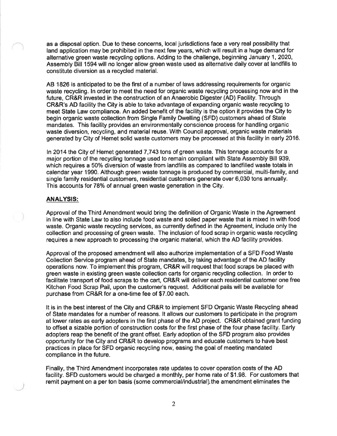as a disposal option. Due to these concerns, local jurisdictions face a very real possibility that land application may be prohibited in the next few years, which will result in a huge demand for alternative green waste recycling options. Adding to the challenge, beginning January 1, 2020, Assembly Bill 1594 will no longer allow green waste used as alternative daily cover at landfills to constitute diversion as a recycled material.

AB 1826 is anticipated to be the first of a number of laws addressing requirements for organic waste recycling. ln order to meet the need for organic waste recycling processing now and in the future, CR&R invested in the construction of an Anaerobic Digester (AD) Facility. Through CR&R's AD facility the City is able to take advantage of expanding organic waste recycling to meet State Law compliance, An added benefit of the facility is the option it provides the City to begin organic waste collection from Single Family Dwelling (SFD) customers ahead of State mandates. This facility provides an environmentally conscience process for handling organic waste diversion, recycling, and material reuse. With Council approval, organic waste materials generated by City of Hemet solid waste customers may be processed at this facility in early 2016.

ln 2014 the City of Hemet generated 7,743 tons of green waste. This tonnage accounts for a major portion of the recycling tonnage used to remain compliant with State Assembly Bill 939, which requires a 50% diversion of waste from landfills as compared to landfilled waste totals in calendar year 1990. Although green waste tonnage is produced by commercial, multi-family, and single family residential customers, residential customers generate over 6,030 tons annually. This accounts for 78% of annual green waste generation in the City.

#### ANALYSIS:

Approval of the Third Amendment would bring the definition of Organic Waste in the Agreement in line with State Law to also include food waste and soiled paper waste that is mixed in with food waste. Organic waste recycling services, as currently defined in the Agreement, include only the collection and processing of green waste. The inclusion of food scrap in organic waste recycling requires a new approach to processing the organic material, which the AD facility provides.

Approval of the proposed amendment will also authorize implementation of a SFD Food Waste Collection Service program ahead of State mandates, by taking advantage of the AD facility operations now. To implement this program, CR&R will request that food scraps be placed with green waste in existing green waste collection carts for organic recycling collection. ln order to facilitate transport of food scraps to the cart, CR&R will deliver each residential customer one free Kitchen Food Scrap Pail, upon the customer's request. Additional pails will be available tor purchase from CR&R for a one-time fee of \$7.00 each.

It is in the best interest of the City and CR&R to implement SFD Organic Waste Recycling ahead of State mandates for a number of reasons. lt allows our customers to participate in the program at lower rates as early adopters in the first phase of the AD project. CR&R obtained grant funding to offset a sizable portion of construction costs for the first phase of the four phase facility. Early adopters reap the benefit of the grant offset. Early adoption of the SFD program also provides opportunity for the City and CR&R to develop programs and educate customers to have best practices in place for SFD organic recycling now, easing the goal of meeting mandated compliance in the future.

Finally, the Third Amendment incorporates rate updates to cover operation costs of the AD facility. SFD customers would be charged a monthly, per home rate of \$1.98. For customers that remit payment on a per ton basis (some commercial/industrial) the amendment eliminates the